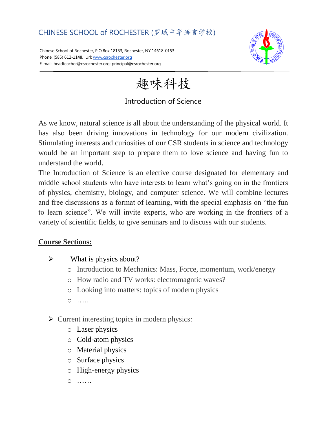# CHINESE SCHOOL of ROCHESTER (罗城中华语言学校)

Chinese School of Rochester, P.O.Box 18153, Rochester, NY 14618-0153 Phone: (585) 612-1148, Url[: www.csrochester.org](http://www.csrochester.org/) E-mail: headteacher@csrochester.org; principal@csrochester.org



趣味科技

### Introduction of Science

As we know, natural science is all about the understanding of the physical world. It has also been driving innovations in technology for our modern civilization. Stimulating interests and curiosities of our CSR students in science and technology would be an important step to prepare them to love science and having fun to understand the world.

The Introduction of Science is an elective course designated for elementary and middle school students who have interests to learn what's going on in the frontiers of physics, chemistry, biology, and computer science. We will combine lectures and free discussions as a format of learning, with the special emphasis on "the fun to learn science". We will invite experts, who are working in the frontiers of a variety of scientific fields, to give seminars and to discuss with our students.

#### **Course Sections:**

- $\triangleright$  What is physics about?
	- o Introduction to Mechanics: Mass, Force, momentum, work/energy
	- o How radio and TV works: electromagntic waves?
	- o Looking into matters: topics of modern physics
	- o …..
- $\triangleright$  Current interesting topics in modern physics:
	- o Laser physics
	- o Cold-atom physics
	- o Material physics
	- o Surface physics
	- o High-energy physics
	- o ……